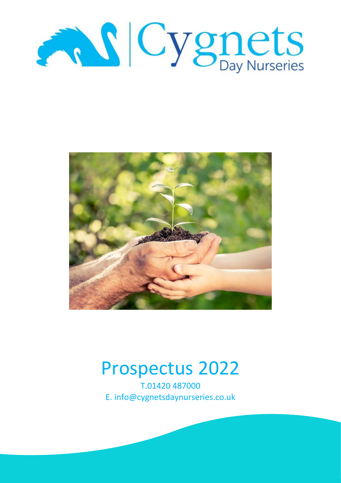



# Prospectus 2022

T.01420 487000 E. info@cygnetsdaynurseries.co.uk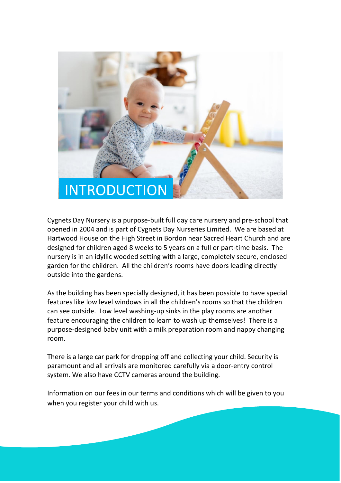

Cygnets Day Nursery is a purpose-built full day care nursery and pre-school that opened in 2004 and is part of Cygnets Day Nurseries Limited. We are based at Hartwood House on the High Street in Bordon near Sacred Heart Church and are designed for children aged 8 weeks to 5 years on a full or part-time basis. The nursery is in an idyllic wooded setting with a large, completely secure, enclosed garden for the children. All the children's rooms have doors leading directly outside into the gardens.

As the building has been specially designed, it has been possible to have special features like low level windows in all the children's rooms so that the children can see outside. Low level washing-up sinks in the play rooms are another feature encouraging the children to learn to wash up themselves! There is a purpose-designed baby unit with a milk preparation room and nappy changing room.

There is a large car park for dropping off and collecting your child. Security is paramount and all arrivals are monitored carefully via a door-entry control system. We also have CCTV cameras around the building.

Information on our fees in our terms and conditions which will be given to you when you register your child with us.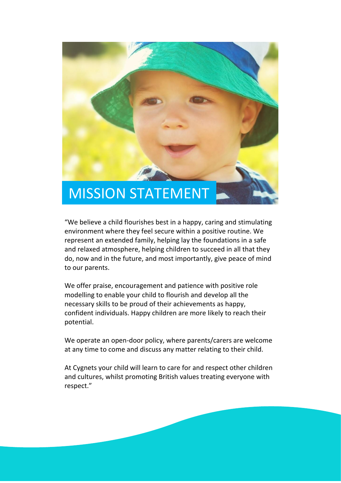

"We believe a child flourishes best in a happy, caring and stimulating environment where they feel secure within a positive routine. We represent an extended family, helping lay the foundations in a safe and relaxed atmosphere, helping children to succeed in all that they do, now and in the future, and most importantly, give peace of mind to our parents.

We offer praise, encouragement and patience with positive role modelling to enable your child to flourish and develop all the necessary skills to be proud of their achievements as happy, confident individuals. Happy children are more likely to reach their potential.

We operate an open-door policy, where parents/carers are welcome at any time to come and discuss any matter relating to their child.

At Cygnets your child will learn to care for and respect other children and cultures, whilst promoting British values treating everyone with respect."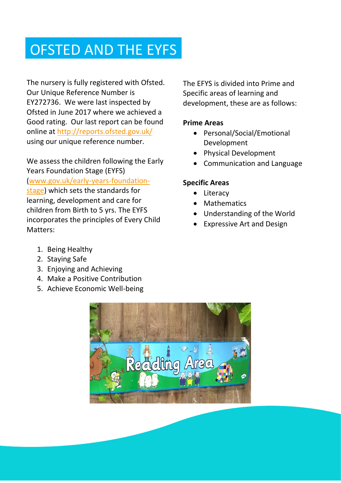## OFSTED AND THE EYFS

The nursery is fully registered with Ofsted. Our Unique Reference Number is EY272736. We were last inspected by Ofsted in June 2017 where we achieved a Good rating. Our last report can be found online at<http://reports.ofsted.gov.uk/> using our unique reference number.

We assess the children following the Early Years Foundation Stage (EYFS) [\(www.gov.uk/early-years-foundation](http://www.gov.uk/early-years-foundation-stage)[stage\)](http://www.gov.uk/early-years-foundation-stage) which sets the standards for learning, development and care for children from Birth to 5 yrs. The EYFS incorporates the principles of Every Child Matters:

The EFYS is divided into Prime and Specific areas of learning and development, these are as follows:

## **Prime Areas**

- Personal/Social/Emotional Development
- Physical Development
- Communication and Language

## **Specific Areas**

- Literacy
- Mathematics
- Understanding of the World
- Expressive Art and Design

- 1. Being Healthy
- 2. Staying Safe
- 3. Enjoying and Achieving
- 4. Make a Positive Contribution
- 5. Achieve Economic Well-being

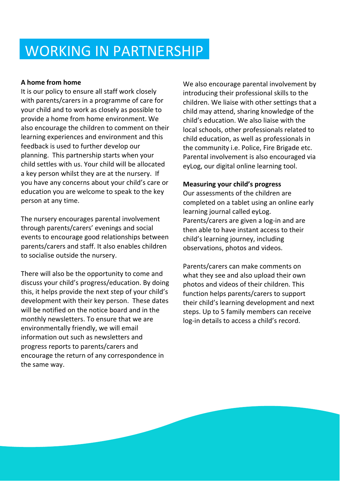## WORKING IN PARTNERSHIP

## **A home from home**

It is our policy to ensure all staff work closely with parents/carers in a programme of care for your child and to work as closely as possible to provide a home from home environment. We also encourage the children to comment on their learning experiences and environment and this feedback is used to further develop our planning. This partnership starts when your child settles with us. Your child will be allocated a key person whilst they are at the nursery. If you have any concerns about your child's care or education you are welcome to speak to the key person at any time.

The nursery encourages parental involvement through parents/carers' evenings and social events to encourage good relationships between parents/carers and staff. It also enables children to socialise outside the nursery.

There will also be the opportunity to come and discuss your child's progress/education. By doing this, it helps provide the next step of your child's development with their key person. These dates will be notified on the notice board and in the monthly newsletters. To ensure that we are environmentally friendly, we will email information out such as newsletters and progress reports to parents/carers and encourage the return of any correspondence in the same way.

We also encourage parental involvement by introducing their professional skills to the children. We liaise with other settings that a child may attend, sharing knowledge of the child's education. We also liaise with the local schools, other professionals related to child education, as well as professionals in the community i.e. Police, Fire Brigade etc. Parental involvement is also encouraged via eyLog, our digital online learning tool.

### **Measuring your child's progress**

Our assessments of the children are completed on a tablet using an online early learning journal called eyLog. Parents/carers are given a log-in and are then able to have instant access to their child's learning journey, including observations, photos and videos.

Parents/carers can make comments on what they see and also upload their own photos and videos of their children. This function helps parents/carers to support their child's learning development and next steps. Up to 5 family members can receive log-in details to access a child's record.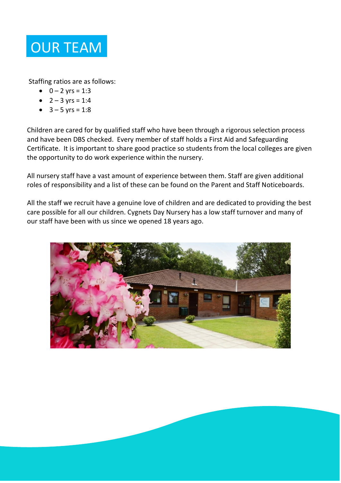

Staffing ratios are as follows:

- $0 2$  yrs = 1:3
- $2 3$  yrs = 1:4
- $3 5$  yrs = 1:8

Children are cared for by qualified staff who have been through a rigorous selection process and have been DBS checked. Every member of staff holds a First Aid and Safeguarding Certificate. It is important to share good practice so students from the local colleges are given the opportunity to do work experience within the nursery.

All nursery staff have a vast amount of experience between them. Staff are given additional roles of responsibility and a list of these can be found on the Parent and Staff Noticeboards.

All the staff we recruit have a genuine love of children and are dedicated to providing the best care possible for all our children. Cygnets Day Nursery has a low staff turnover and many of our staff have been with us since we opened 18 years ago.

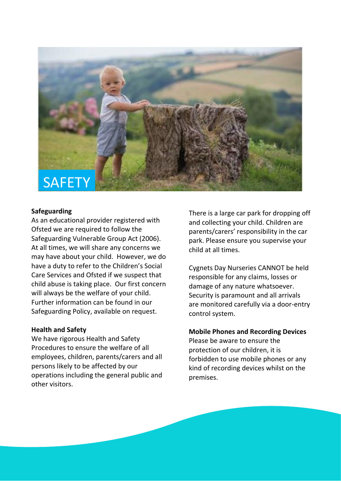

#### **Safeguarding**

As an educational provider registered with Ofsted we are required to follow the Safeguarding Vulnerable Group Act (2006). At all times, we will share any concerns we may have about your child. However, we do have a duty to refer to the Children's Social Care Services and Ofsted if we suspect that child abuse is taking place. Our first concern will always be the welfare of your child. Further information can be found in our Safeguarding Policy, available on request.

#### **Health and Safety**

We have rigorous Health and Safety Procedures to ensure the welfare of all employees, children, parents/carers and all persons likely to be affected by our operations including the general public and other visitors.

There is a large car park for dropping off and collecting your child. Children are parents/carers' responsibility in the car park. Please ensure you supervise your child at all times.

Cygnets Day Nurseries CANNOT be held responsible for any claims, losses or damage of any nature whatsoever. Security is paramount and all arrivals are monitored carefully via a door-entry control system.

#### **Mobile Phones and Recording Devices**

Please be aware to ensure the protection of our children, it is forbidden to use mobile phones or any kind of recording devices whilst on the premises.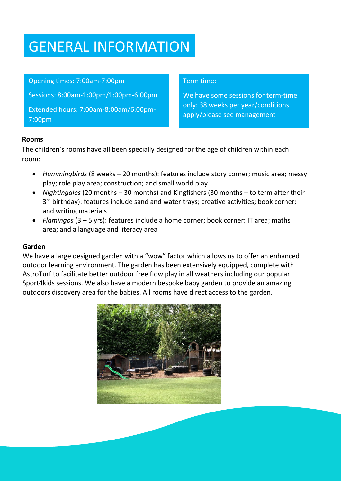## GENERAL INFORMATION

## Opening times: 7:00am-7:00pm

Sessions: 8:00am-1:00pm/1:00pm-6:00pm

Extended hours: 7:00am-8:00am/6:00pm-7:00pm

### Term time:

We have some sessions for term-time only: 38 weeks per year/conditions apply/please see management

### **Rooms**

The children's rooms have all been specially designed for the age of children within each room:

- *Hummingbirds* (8 weeks 20 months): features include story corner; music area; messy play; role play area; construction; and small world play
- *Nightingales* (20 months 30 months) and Kingfishers (30 months to term after their 3<sup>rd</sup> birthday): features include sand and water trays; creative activities; book corner; and writing materials
- *Flamingos* (3 5 yrs): features include a home corner; book corner; IT area; maths area; and a language and literacy area

## **Garden**

We have a large designed garden with a "wow" factor which allows us to offer an enhanced outdoor learning environment. The garden has been extensively equipped, complete with AstroTurf to facilitate better outdoor free flow play in all weathers including our popular Sport4kids sessions. We also have a modern bespoke baby garden to provide an amazing outdoors discovery area for the babies. All rooms have direct access to the garden.

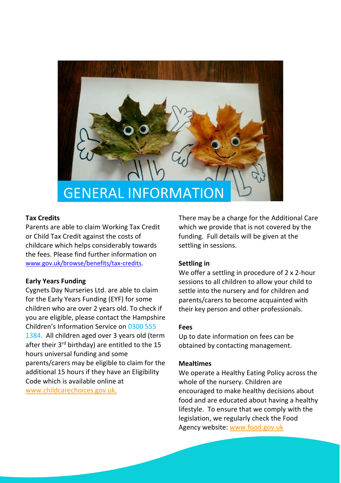

#### **Tax Credits**

Parents are able to claim Working Tax Credit or Child Tax Credit against the costs of childcare which helps considerably towards the fees. Please find further information on [www.gov.uk/browse/benefits/tax-credits.](https://www.gov.uk/browse/benefits/tax-credits)

#### **Early Years Funding**

Cygnets Day Nurseries Ltd. are able to claim for the Early Years Funding (EYF) for some children who are over 2 years old. To check if you are eligible, please contact the Hampshire Children's Information Service on 0300 555 1384. All children aged over 3 years old (term after their 3<sup>rd</sup> birthday) are entitled to the 15 hours universal funding and some parents/carers may be eligible to claim for the additional 15 hours if they have an Eligibility Code which is available online at [www.childcarechoices.gov.uk.](http://www.childcarechoices.gov.uk/)

There may be a charge for the Additional Care which we provide that is not covered by the funding. Full details will be given at the settling in sessions.

#### **Settling in**

We offer a settling in procedure of 2 x 2-hour sessions to all children to allow your child to settle into the nursery and for children and parents/carers to become acquainted with their key person and other professionals.

#### **Fees**

Up to date information on fees can be obtained by contacting management.

#### **Mealtimes**

We operate a Healthy Eating Policy across the whole of the nursery. Children are encouraged to make healthy decisions about food and are educated about having a healthy lifestyle. To ensure that we comply with the legislation, we regularly check the Food Agency website: [www.food.gov.uk](http://www.food.gov.uk/)